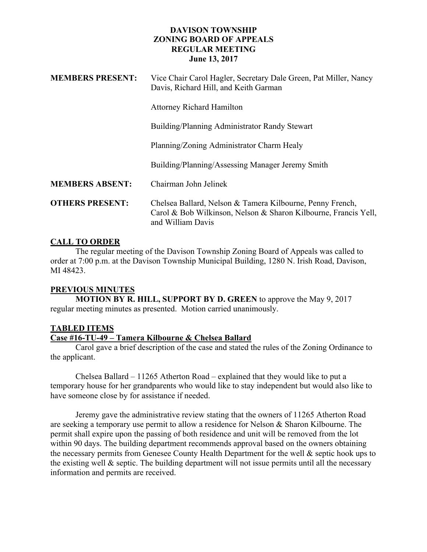### **DAVISON TOWNSHIP ZONING BOARD OF APPEALS REGULAR MEETING June 13, 2017**

| <b>MEMBERS PRESENT:</b> | Vice Chair Carol Hagler, Secretary Dale Green, Pat Miller, Nancy<br>Davis, Richard Hill, and Keith Garman                                         |
|-------------------------|---------------------------------------------------------------------------------------------------------------------------------------------------|
|                         | <b>Attorney Richard Hamilton</b>                                                                                                                  |
|                         | Building/Planning Administrator Randy Stewart                                                                                                     |
|                         | Planning/Zoning Administrator Charm Healy                                                                                                         |
|                         | Building/Planning/Assessing Manager Jeremy Smith                                                                                                  |
| <b>MEMBERS ABSENT:</b>  | Chairman John Jelinek                                                                                                                             |
| <b>OTHERS PRESENT:</b>  | Chelsea Ballard, Nelson & Tamera Kilbourne, Penny French,<br>Carol & Bob Wilkinson, Nelson & Sharon Kilbourne, Francis Yell,<br>and William Davis |

# **CALL TO ORDER**

The regular meeting of the Davison Township Zoning Board of Appeals was called to order at 7:00 p.m. at the Davison Township Municipal Building, 1280 N. Irish Road, Davison, MI 48423.

# **PREVIOUS MINUTES**

**MOTION BY R. HILL, SUPPORT BY D. GREEN** to approve the May 9, 2017 regular meeting minutes as presented. Motion carried unanimously.

# **TABLED ITEMS**

#### **Case #16-TU-49 – Tamera Kilbourne & Chelsea Ballard**

Carol gave a brief description of the case and stated the rules of the Zoning Ordinance to the applicant.

Chelsea Ballard – 11265 Atherton Road – explained that they would like to put a temporary house for her grandparents who would like to stay independent but would also like to have someone close by for assistance if needed.

Jeremy gave the administrative review stating that the owners of 11265 Atherton Road are seeking a temporary use permit to allow a residence for Nelson & Sharon Kilbourne. The permit shall expire upon the passing of both residence and unit will be removed from the lot within 90 days. The building department recommends approval based on the owners obtaining the necessary permits from Genesee County Health Department for the well & septic hook ups to the existing well  $\&$  septic. The building department will not issue permits until all the necessary information and permits are received.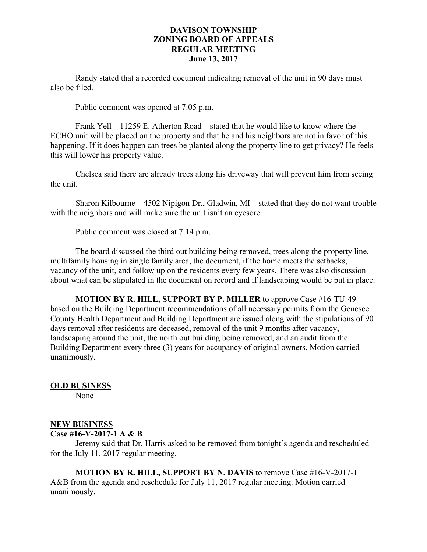### **DAVISON TOWNSHIP ZONING BOARD OF APPEALS REGULAR MEETING June 13, 2017**

Randy stated that a recorded document indicating removal of the unit in 90 days must also be filed.

Public comment was opened at 7:05 p.m.

Frank Yell – 11259 E. Atherton Road – stated that he would like to know where the ECHO unit will be placed on the property and that he and his neighbors are not in favor of this happening. If it does happen can trees be planted along the property line to get privacy? He feels this will lower his property value.

Chelsea said there are already trees along his driveway that will prevent him from seeing the unit.

Sharon Kilbourne – 4502 Nipigon Dr., Gladwin, MI – stated that they do not want trouble with the neighbors and will make sure the unit isn't an eyesore.

Public comment was closed at 7:14 p.m.

The board discussed the third out building being removed, trees along the property line, multifamily housing in single family area, the document, if the home meets the setbacks, vacancy of the unit, and follow up on the residents every few years. There was also discussion about what can be stipulated in the document on record and if landscaping would be put in place.

**MOTION BY R. HILL, SUPPORT BY P. MILLER** to approve Case #16-TU-49 based on the Building Department recommendations of all necessary permits from the Genesee County Health Department and Building Department are issued along with the stipulations of 90 days removal after residents are deceased, removal of the unit 9 months after vacancy, landscaping around the unit, the north out building being removed, and an audit from the Building Department every three (3) years for occupancy of original owners. Motion carried unanimously.

#### **OLD BUSINESS**

None

# **NEW BUSINESS**

### **Case #16-V-2017-1 A & B**

Jeremy said that Dr. Harris asked to be removed from tonight's agenda and rescheduled for the July 11, 2017 regular meeting.

**MOTION BY R. HILL, SUPPORT BY N. DAVIS** to remove Case #16-V-2017-1 A&B from the agenda and reschedule for July 11, 2017 regular meeting. Motion carried unanimously.